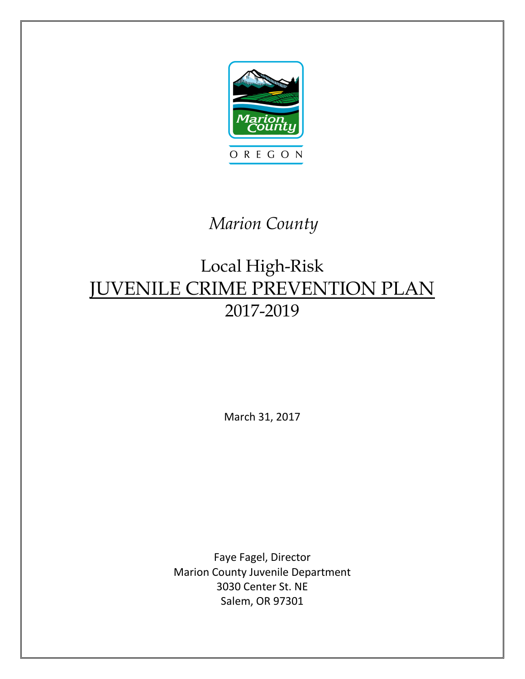

# *Marion County*

# Local High-Risk JUVENILE CRIME PREVENTION PLAN 2017-2019

March 31, 2017

Faye Fagel, Director Marion County Juvenile Department 3030 Center St. NE Salem, OR 97301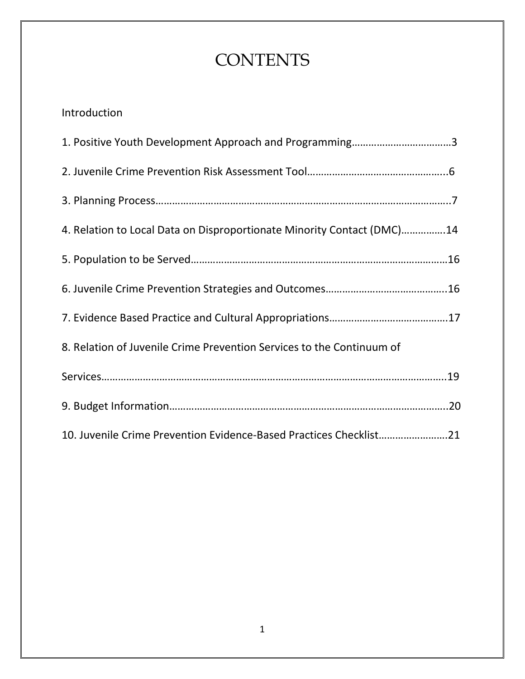# **CONTENTS**

# Introduction

| 1. Positive Youth Development Approach and Programming3                |  |
|------------------------------------------------------------------------|--|
|                                                                        |  |
|                                                                        |  |
| 4. Relation to Local Data on Disproportionate Minority Contact (DMC)14 |  |
|                                                                        |  |
|                                                                        |  |
|                                                                        |  |
| 8. Relation of Juvenile Crime Prevention Services to the Continuum of  |  |
|                                                                        |  |
|                                                                        |  |
| 10. Juvenile Crime Prevention Evidence-Based Practices Checklist21     |  |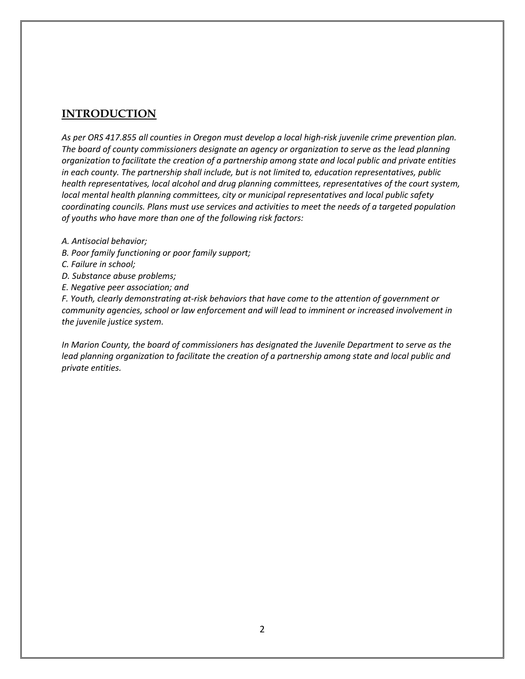### **INTRODUCTION**

*As per ORS 417.855 all counties in Oregon must develop a local high-risk juvenile crime prevention plan. The board of county commissioners designate an agency or organization to serve as the lead planning organization to facilitate the creation of a partnership among state and local public and private entities in each county. The partnership shall include, but is not limited to, education representatives, public health representatives, local alcohol and drug planning committees, representatives of the court system, local mental health planning committees, city or municipal representatives and local public safety coordinating councils. Plans must use services and activities to meet the needs of a targeted population of youths who have more than one of the following risk factors:*

- *A. Antisocial behavior;*
- *B. Poor family functioning or poor family support;*
- *C. Failure in school;*
- *D. Substance abuse problems;*
- *E. Negative peer association; and*

*F. Youth, clearly demonstrating at-risk behaviors that have come to the attention of government or community agencies, school or law enforcement and will lead to imminent or increased involvement in the juvenile justice system.* 

*In Marion County, the board of commissioners has designated the Juvenile Department to serve as the*  lead planning organization to facilitate the creation of a partnership among state and local public and *private entities.*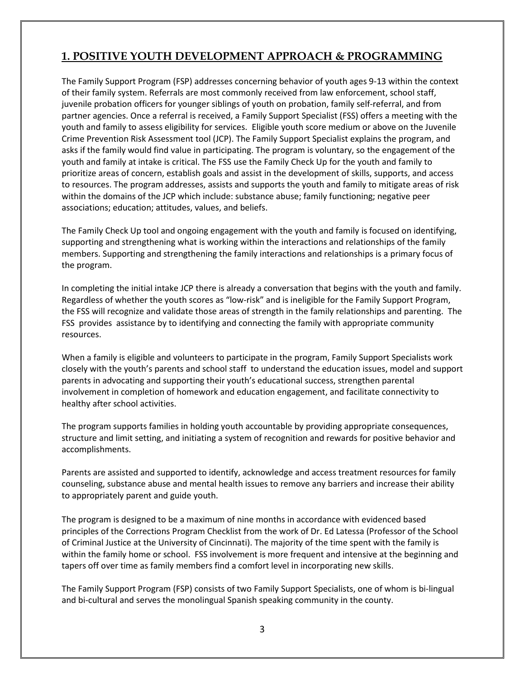# **1. POSITIVE YOUTH DEVELOPMENT APPROACH & PROGRAMMING**

The Family Support Program (FSP) addresses concerning behavior of youth ages 9-13 within the context of their family system. Referrals are most commonly received from law enforcement, school staff, juvenile probation officers for younger siblings of youth on probation, family self-referral, and from partner agencies. Once a referral is received, a Family Support Specialist (FSS) offers a meeting with the youth and family to assess eligibility for services. Eligible youth score medium or above on the Juvenile Crime Prevention Risk Assessment tool (JCP). The Family Support Specialist explains the program, and asks if the family would find value in participating. The program is voluntary, so the engagement of the youth and family at intake is critical. The FSS use the Family Check Up for the youth and family to prioritize areas of concern, establish goals and assist in the development of skills, supports, and access to resources. The program addresses, assists and supports the youth and family to mitigate areas of risk within the domains of the JCP which include: substance abuse; family functioning; negative peer associations; education; attitudes, values, and beliefs.

The Family Check Up tool and ongoing engagement with the youth and family is focused on identifying, supporting and strengthening what is working within the interactions and relationships of the family members. Supporting and strengthening the family interactions and relationships is a primary focus of the program.

In completing the initial intake JCP there is already a conversation that begins with the youth and family. Regardless of whether the youth scores as "low-risk" and is ineligible for the Family Support Program, the FSS will recognize and validate those areas of strength in the family relationships and parenting. The FSS provides assistance by to identifying and connecting the family with appropriate community resources.

When a family is eligible and volunteers to participate in the program, Family Support Specialists work closely with the youth's parents and school staff to understand the education issues, model and support parents in advocating and supporting their youth's educational success, strengthen parental involvement in completion of homework and education engagement, and facilitate connectivity to healthy after school activities.

The program supports families in holding youth accountable by providing appropriate consequences, structure and limit setting, and initiating a system of recognition and rewards for positive behavior and accomplishments.

Parents are assisted and supported to identify, acknowledge and access treatment resources for family counseling, substance abuse and mental health issues to remove any barriers and increase their ability to appropriately parent and guide youth.

The program is designed to be a maximum of nine months in accordance with evidenced based principles of the Corrections Program Checklist from the work of Dr. Ed Latessa (Professor of the School of Criminal Justice at the University of Cincinnati). The majority of the time spent with the family is within the family home or school. FSS involvement is more frequent and intensive at the beginning and tapers off over time as family members find a comfort level in incorporating new skills.

The Family Support Program (FSP) consists of two Family Support Specialists, one of whom is bi-lingual and bi-cultural and serves the monolingual Spanish speaking community in the county.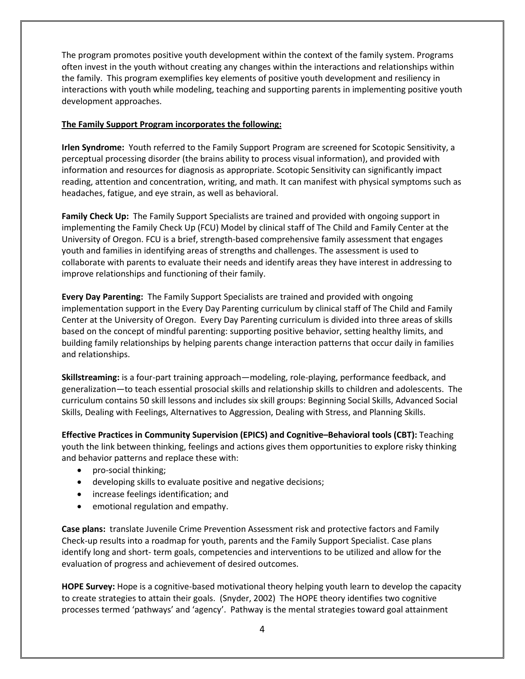The program promotes positive youth development within the context of the family system. Programs often invest in the youth without creating any changes within the interactions and relationships within the family. This program exemplifies key elements of positive youth development and resiliency in interactions with youth while modeling, teaching and supporting parents in implementing positive youth development approaches.

### **The Family Support Program incorporates the following:**

**Irlen Syndrome:** Youth referred to the Family Support Program are screened for Scotopic Sensitivity, a perceptual processing disorder (the brains ability to process visual information), and provided with information and resources for diagnosis as appropriate. Scotopic Sensitivity can significantly impact reading, attention and concentration, writing, and math. It can manifest with physical symptoms such as headaches, fatigue, and eye strain, as well as behavioral.

**Family Check Up:** The Family Support Specialists are trained and provided with ongoing support in implementing the Family Check Up (FCU) Model by clinical staff of The Child and Family Center at the University of Oregon. FCU is a brief, strength-based comprehensive family assessment that engages youth and families in identifying areas of strengths and challenges. The assessment is used to collaborate with parents to evaluate their needs and identify areas they have interest in addressing to improve relationships and functioning of their family.

**Every Day Parenting:** The Family Support Specialists are trained and provided with ongoing implementation support in the Every Day Parenting curriculum by clinical staff of The Child and Family Center at the University of Oregon. Every Day Parenting curriculum is divided into three areas of skills based on the concept of mindful parenting: supporting positive behavior, setting healthy limits, and building family relationships by helping parents change interaction patterns that occur daily in families and relationships.

**Skillstreaming:** is a four-part training approach—modeling, role-playing, performance feedback, and generalization—to teach essential prosocial skills and relationship skills to children and adolescents. The curriculum contains 50 skill lessons and includes six skill groups: Beginning Social Skills, Advanced Social Skills, Dealing with Feelings, Alternatives to Aggression, Dealing with Stress, and Planning Skills.

**Effective Practices in Community Supervision (EPICS) and Cognitive–Behavioral tools (CBT):** Teaching youth the link between thinking, feelings and actions gives them opportunities to explore risky thinking and behavior patterns and replace these with:

- pro-social thinking;
- developing skills to evaluate positive and negative decisions;
- increase feelings identification; and
- emotional regulation and empathy.

**Case plans:** translate Juvenile Crime Prevention Assessment risk and protective factors and Family Check-up results into a roadmap for youth, parents and the Family Support Specialist. Case plans identify long and short- term goals, competencies and interventions to be utilized and allow for the evaluation of progress and achievement of desired outcomes.

**HOPE Survey:** Hope is a cognitive-based motivational theory helping youth learn to develop the capacity to create strategies to attain their goals. (Snyder, 2002) The HOPE theory identifies two cognitive processes termed 'pathways' and 'agency'. Pathway is the mental strategies toward goal attainment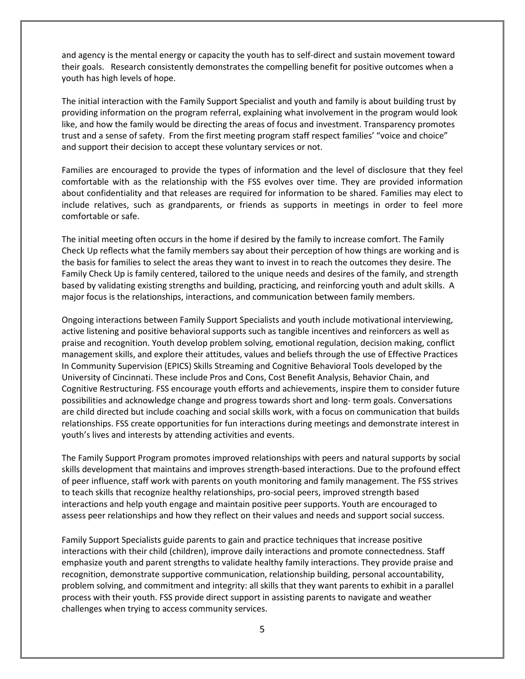and agency is the mental energy or capacity the youth has to self-direct and sustain movement toward their goals. Research consistently demonstrates the compelling benefit for positive outcomes when a youth has high levels of hope.

The initial interaction with the Family Support Specialist and youth and family is about building trust by providing information on the program referral, explaining what involvement in the program would look like, and how the family would be directing the areas of focus and investment. Transparency promotes trust and a sense of safety. From the first meeting program staff respect families' "voice and choice" and support their decision to accept these voluntary services or not.

Families are encouraged to provide the types of information and the level of disclosure that they feel comfortable with as the relationship with the FSS evolves over time. They are provided information about confidentiality and that releases are required for information to be shared. Families may elect to include relatives, such as grandparents, or friends as supports in meetings in order to feel more comfortable or safe.

The initial meeting often occurs in the home if desired by the family to increase comfort. The Family Check Up reflects what the family members say about their perception of how things are working and is the basis for families to select the areas they want to invest in to reach the outcomes they desire. The Family Check Up is family centered, tailored to the unique needs and desires of the family, and strength based by validating existing strengths and building, practicing, and reinforcing youth and adult skills. A major focus is the relationships, interactions, and communication between family members.

Ongoing interactions between Family Support Specialists and youth include motivational interviewing, active listening and positive behavioral supports such as tangible incentives and reinforcers as well as praise and recognition. Youth develop problem solving, emotional regulation, decision making, conflict management skills, and explore their attitudes, values and beliefs through the use of Effective Practices In Community Supervision (EPICS) Skills Streaming and Cognitive Behavioral Tools developed by the University of Cincinnati. These include Pros and Cons, Cost Benefit Analysis, Behavior Chain, and Cognitive Restructuring. FSS encourage youth efforts and achievements, inspire them to consider future possibilities and acknowledge change and progress towards short and long- term goals. Conversations are child directed but include coaching and social skills work, with a focus on communication that builds relationships. FSS create opportunities for fun interactions during meetings and demonstrate interest in youth's lives and interests by attending activities and events.

The Family Support Program promotes improved relationships with peers and natural supports by social skills development that maintains and improves strength-based interactions. Due to the profound effect of peer influence, staff work with parents on youth monitoring and family management. The FSS strives to teach skills that recognize healthy relationships, pro-social peers, improved strength based interactions and help youth engage and maintain positive peer supports. Youth are encouraged to assess peer relationships and how they reflect on their values and needs and support social success.

Family Support Specialists guide parents to gain and practice techniques that increase positive interactions with their child (children), improve daily interactions and promote connectedness. Staff emphasize youth and parent strengths to validate healthy family interactions. They provide praise and recognition, demonstrate supportive communication, relationship building, personal accountability, problem solving, and commitment and integrity: all skills that they want parents to exhibit in a parallel process with their youth. FSS provide direct support in assisting parents to navigate and weather challenges when trying to access community services.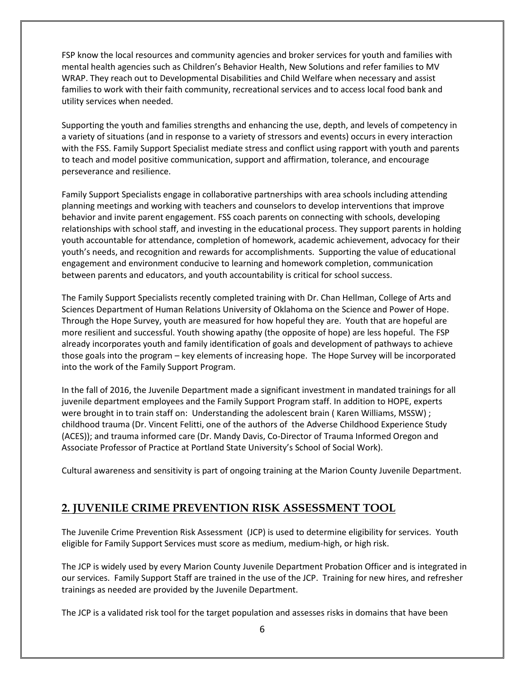FSP know the local resources and community agencies and broker services for youth and families with mental health agencies such as Children's Behavior Health, New Solutions and refer families to MV WRAP. They reach out to Developmental Disabilities and Child Welfare when necessary and assist families to work with their faith community, recreational services and to access local food bank and utility services when needed.

Supporting the youth and families strengths and enhancing the use, depth, and levels of competency in a variety of situations (and in response to a variety of stressors and events) occurs in every interaction with the FSS. Family Support Specialist mediate stress and conflict using rapport with youth and parents to teach and model positive communication, support and affirmation, tolerance, and encourage perseverance and resilience.

Family Support Specialists engage in collaborative partnerships with area schools including attending planning meetings and working with teachers and counselors to develop interventions that improve behavior and invite parent engagement. FSS coach parents on connecting with schools, developing relationships with school staff, and investing in the educational process. They support parents in holding youth accountable for attendance, completion of homework, academic achievement, advocacy for their youth's needs, and recognition and rewards for accomplishments. Supporting the value of educational engagement and environment conducive to learning and homework completion, communication between parents and educators, and youth accountability is critical for school success.

The Family Support Specialists recently completed training with Dr. Chan Hellman, College of Arts and Sciences Department of Human Relations University of Oklahoma on the Science and Power of Hope. Through the Hope Survey, youth are measured for how hopeful they are. Youth that are hopeful are more resilient and successful. Youth showing apathy (the opposite of hope) are less hopeful. The FSP already incorporates youth and family identification of goals and development of pathways to achieve those goals into the program – key elements of increasing hope. The Hope Survey will be incorporated into the work of the Family Support Program.

In the fall of 2016, the Juvenile Department made a significant investment in mandated trainings for all juvenile department employees and the Family Support Program staff. In addition to HOPE, experts were brought in to train staff on: Understanding the adolescent brain ( Karen Williams, MSSW) ; childhood trauma (Dr. Vincent Felitti, one of the authors of the Adverse Childhood Experience Study (ACES)); and trauma informed care (Dr. Mandy Davis, Co-Director of Trauma Informed Oregon and Associate Professor of Practice at Portland State University's School of Social Work).

Cultural awareness and sensitivity is part of ongoing training at the Marion County Juvenile Department.

### **2. JUVENILE CRIME PREVENTION RISK ASSESSMENT TOOL**

The Juvenile Crime Prevention Risk Assessment (JCP) is used to determine eligibility for services. Youth eligible for Family Support Services must score as medium, medium-high, or high risk.

The JCP is widely used by every Marion County Juvenile Department Probation Officer and is integrated in our services. Family Support Staff are trained in the use of the JCP. Training for new hires, and refresher trainings as needed are provided by the Juvenile Department.

The JCP is a validated risk tool for the target population and assesses risks in domains that have been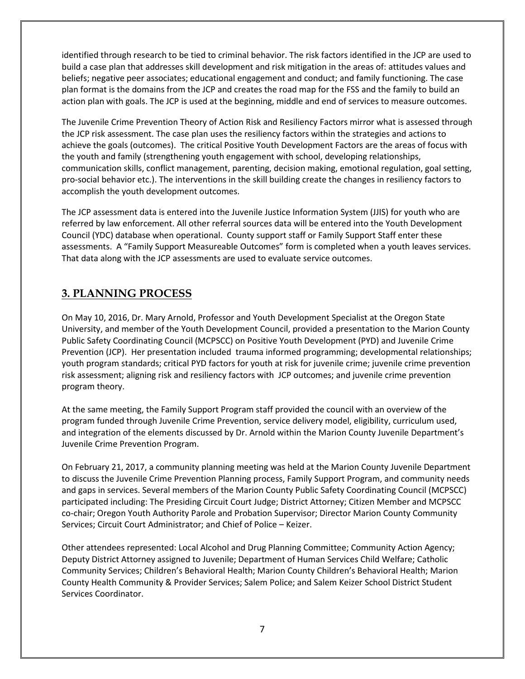identified through research to be tied to criminal behavior. The risk factors identified in the JCP are used to build a case plan that addresses skill development and risk mitigation in the areas of: attitudes values and beliefs; negative peer associates; educational engagement and conduct; and family functioning. The case plan format is the domains from the JCP and creates the road map for the FSS and the family to build an action plan with goals. The JCP is used at the beginning, middle and end of services to measure outcomes.

The Juvenile Crime Prevention Theory of Action Risk and Resiliency Factors mirror what is assessed through the JCP risk assessment. The case plan uses the resiliency factors within the strategies and actions to achieve the goals (outcomes). The critical Positive Youth Development Factors are the areas of focus with the youth and family (strengthening youth engagement with school, developing relationships, communication skills, conflict management, parenting, decision making, emotional regulation, goal setting, pro-social behavior etc.). The interventions in the skill building create the changes in resiliency factors to accomplish the youth development outcomes.

The JCP assessment data is entered into the Juvenile Justice Information System (JJIS) for youth who are referred by law enforcement. All other referral sources data will be entered into the Youth Development Council (YDC) database when operational. County support staff or Family Support Staff enter these assessments. A "Family Support Measureable Outcomes" form is completed when a youth leaves services. That data along with the JCP assessments are used to evaluate service outcomes.

# **3. PLANNING PROCESS**

On May 10, 2016, Dr. Mary Arnold, Professor and Youth Development Specialist at the Oregon State University, and member of the Youth Development Council, provided a presentation to the Marion County Public Safety Coordinating Council (MCPSCC) on Positive Youth Development (PYD) and Juvenile Crime Prevention (JCP). Her presentation included trauma informed programming; developmental relationships; youth program standards; critical PYD factors for youth at risk for juvenile crime; juvenile crime prevention risk assessment; aligning risk and resiliency factors with JCP outcomes; and juvenile crime prevention program theory.

At the same meeting, the Family Support Program staff provided the council with an overview of the program funded through Juvenile Crime Prevention, service delivery model, eligibility, curriculum used, and integration of the elements discussed by Dr. Arnold within the Marion County Juvenile Department's Juvenile Crime Prevention Program.

On February 21, 2017, a community planning meeting was held at the Marion County Juvenile Department to discuss the Juvenile Crime Prevention Planning process, Family Support Program, and community needs and gaps in services. Several members of the Marion County Public Safety Coordinating Council (MCPSCC) participated including: The Presiding Circuit Court Judge; District Attorney; Citizen Member and MCPSCC co-chair; Oregon Youth Authority Parole and Probation Supervisor; Director Marion County Community Services; Circuit Court Administrator; and Chief of Police – Keizer.

Other attendees represented: Local Alcohol and Drug Planning Committee; Community Action Agency; Deputy District Attorney assigned to Juvenile; Department of Human Services Child Welfare; Catholic Community Services; Children's Behavioral Health; Marion County Children's Behavioral Health; Marion County Health Community & Provider Services; Salem Police; and Salem Keizer School District Student Services Coordinator.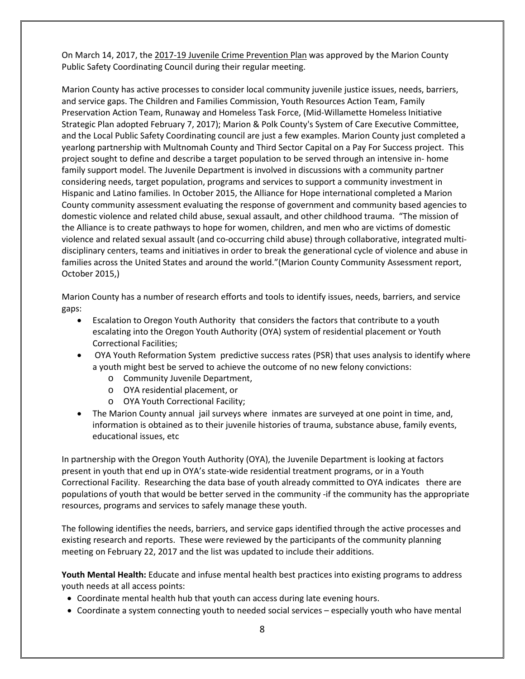On March 14, 2017, the 2017-19 Juvenile Crime Prevention Plan was approved by the Marion County Public Safety Coordinating Council during their regular meeting.

Marion County has active processes to consider local community juvenile justice issues, needs, barriers, and service gaps. The Children and Families Commission, Youth Resources Action Team, Family Preservation Action Team, Runaway and Homeless Task Force, (Mid-Willamette Homeless Initiative Strategic Plan adopted February 7, 2017); Marion & Polk County's System of Care Executive Committee, and the Local Public Safety Coordinating council are just a few examples. Marion County just completed a yearlong partnership with Multnomah County and Third Sector Capital on a Pay For Success project. This project sought to define and describe a target population to be served through an intensive in- home family support model. The Juvenile Department is involved in discussions with a community partner considering needs, target population, programs and services to support a community investment in Hispanic and Latino families. In October 2015, the Alliance for Hope international completed a Marion County community assessment evaluating the response of government and community based agencies to domestic violence and related child abuse, sexual assault, and other childhood trauma. "The mission of the Alliance is to create pathways to hope for women, children, and men who are victims of domestic violence and related sexual assault (and co-occurring child abuse) through collaborative, integrated multidisciplinary centers, teams and initiatives in order to break the generational cycle of violence and abuse in families across the United States and around the world."(Marion County Community Assessment report, October 2015,)

Marion County has a number of research efforts and tools to identify issues, needs, barriers, and service gaps:

- Escalation to Oregon Youth Authority that considers the factors that contribute to a youth escalating into the Oregon Youth Authority (OYA) system of residential placement or Youth Correctional Facilities;
- OYA Youth Reformation System predictive success rates (PSR) that uses analysis to identify where a youth might best be served to achieve the outcome of no new felony convictions:
	- o Community Juvenile Department,
	- o OYA residential placement, or
	- o OYA Youth Correctional Facility;
- The Marion County annual jail surveys where inmates are surveyed at one point in time, and, information is obtained as to their juvenile histories of trauma, substance abuse, family events, educational issues, etc

In partnership with the Oregon Youth Authority (OYA), the Juvenile Department is looking at factors present in youth that end up in OYA's state-wide residential treatment programs, or in a Youth Correctional Facility. Researching the data base of youth already committed to OYA indicates there are populations of youth that would be better served in the community -if the community has the appropriate resources, programs and services to safely manage these youth.

The following identifies the needs, barriers, and service gaps identified through the active processes and existing research and reports. These were reviewed by the participants of the community planning meeting on February 22, 2017 and the list was updated to include their additions.

**Youth Mental Health:** Educate and infuse mental health best practices into existing programs to address youth needs at all access points:

- Coordinate mental health hub that youth can access during late evening hours.
- Coordinate a system connecting youth to needed social services especially youth who have mental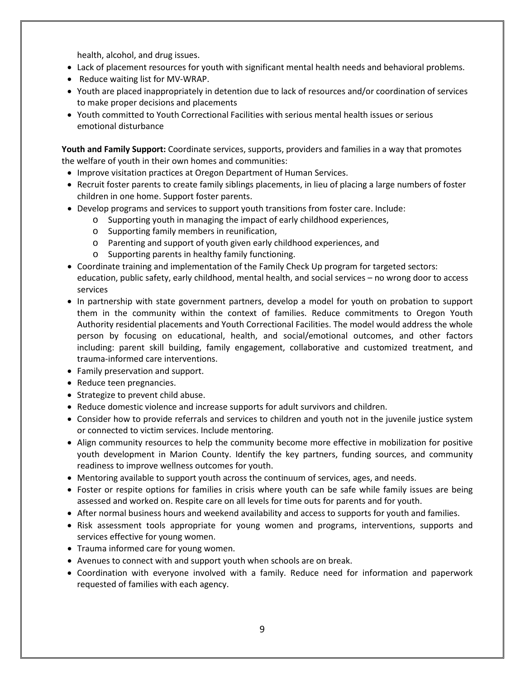health, alcohol, and drug issues.

- Lack of placement resources for youth with significant mental health needs and behavioral problems.
- Reduce waiting list for MV-WRAP.
- Youth are placed inappropriately in detention due to lack of resources and/or coordination of services to make proper decisions and placements
- Youth committed to Youth Correctional Facilities with serious mental health issues or serious emotional disturbance

**Youth and Family Support:** Coordinate services, supports, providers and families in a way that promotes the welfare of youth in their own homes and communities:

- Improve visitation practices at Oregon Department of Human Services.
- Recruit foster parents to create family siblings placements, in lieu of placing a large numbers of foster children in one home. Support foster parents.
- Develop programs and services to support youth transitions from foster care. Include:
	- o Supporting youth in managing the impact of early childhood experiences,
	- o Supporting family members in reunification,
	- o Parenting and support of youth given early childhood experiences, and
	- o Supporting parents in healthy family functioning.
- Coordinate training and implementation of the Family Check Up program for targeted sectors: education, public safety, early childhood, mental health, and social services – no wrong door to access services
- In partnership with state government partners, develop a model for youth on probation to support them in the community within the context of families. Reduce commitments to Oregon Youth Authority residential placements and Youth Correctional Facilities. The model would address the whole person by focusing on educational, health, and social/emotional outcomes, and other factors including: parent skill building, family engagement, collaborative and customized treatment, and trauma-informed care interventions.
- Family preservation and support.
- Reduce teen pregnancies.
- Strategize to prevent child abuse.
- Reduce domestic violence and increase supports for adult survivors and children.
- Consider how to provide referrals and services to children and youth not in the juvenile justice system or connected to victim services. Include mentoring.
- Align community resources to help the community become more effective in mobilization for positive youth development in Marion County. Identify the key partners, funding sources, and community readiness to improve wellness outcomes for youth.
- Mentoring available to support youth across the continuum of services, ages, and needs.
- Foster or respite options for families in crisis where youth can be safe while family issues are being assessed and worked on. Respite care on all levels for time outs for parents and for youth.
- After normal business hours and weekend availability and access to supports for youth and families.
- Risk assessment tools appropriate for young women and programs, interventions, supports and services effective for young women.
- Trauma informed care for young women.
- Avenues to connect with and support youth when schools are on break.
- Coordination with everyone involved with a family. Reduce need for information and paperwork requested of families with each agency.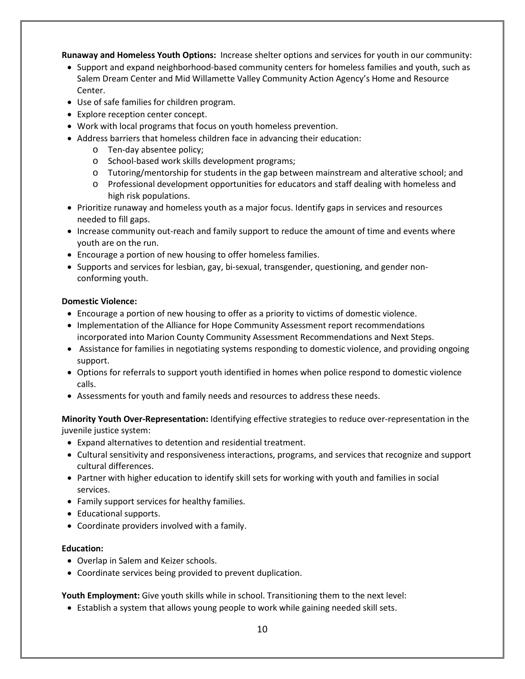**Runaway and Homeless Youth Options:** Increase shelter options and services for youth in our community:

- Support and expand neighborhood-based community centers for homeless families and youth, such as Salem Dream Center and Mid Willamette Valley Community Action Agency's Home and Resource Center.
- Use of safe families for children program.
- Explore reception center concept.
- Work with local programs that focus on youth homeless prevention.
- Address barriers that homeless children face in advancing their education:
	- o Ten-day absentee policy;
	- o School-based work skills development programs;
	- o Tutoring/mentorship for students in the gap between mainstream and alterative school; and
	- o Professional development opportunities for educators and staff dealing with homeless and high risk populations.
- Prioritize runaway and homeless youth as a major focus. Identify gaps in services and resources needed to fill gaps.
- Increase community out-reach and family support to reduce the amount of time and events where youth are on the run.
- Encourage a portion of new housing to offer homeless families.
- Supports and services for lesbian, gay, bi-sexual, transgender, questioning, and gender nonconforming youth.

### **Domestic Violence:**

- Encourage a portion of new housing to offer as a priority to victims of domestic violence.
- Implementation of the Alliance for Hope Community Assessment report recommendations incorporated into Marion County Community Assessment Recommendations and Next Steps.
- Assistance for families in negotiating systems responding to domestic violence, and providing ongoing support.
- Options for referrals to support youth identified in homes when police respond to domestic violence calls.
- Assessments for youth and family needs and resources to address these needs.

**Minority Youth Over-Representation:** Identifying effective strategies to reduce over-representation in the juvenile justice system:

- Expand alternatives to detention and residential treatment.
- Cultural sensitivity and responsiveness interactions, programs, and services that recognize and support cultural differences.
- Partner with higher education to identify skill sets for working with youth and families in social services.
- Family support services for healthy families.
- Educational supports.
- Coordinate providers involved with a family.

### **Education:**

- Overlap in Salem and Keizer schools.
- Coordinate services being provided to prevent duplication.

**Youth Employment:** Give youth skills while in school. Transitioning them to the next level:

• Establish a system that allows young people to work while gaining needed skill sets.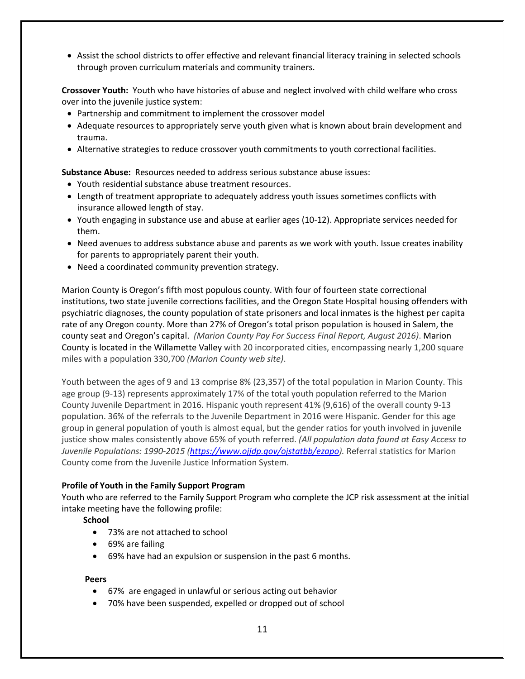• Assist the school districts to offer effective and relevant financial literacy training in selected schools through proven curriculum materials and community trainers.

**Crossover Youth:** Youth who have histories of abuse and neglect involved with child welfare who cross over into the juvenile justice system:

- Partnership and commitment to implement the crossover model
- Adequate resources to appropriately serve youth given what is known about brain development and trauma.
- Alternative strategies to reduce crossover youth commitments to youth correctional facilities.

**Substance Abuse:** Resources needed to address serious substance abuse issues:

- Youth residential substance abuse treatment resources.
- Length of treatment appropriate to adequately address youth issues sometimes conflicts with insurance allowed length of stay.
- Youth engaging in substance use and abuse at earlier ages (10-12). Appropriate services needed for them.
- Need avenues to address substance abuse and parents as we work with youth. Issue creates inability for parents to appropriately parent their youth.
- Need a coordinated community prevention strategy.

Marion County is Oregon's fifth most populous county. With four of fourteen state correctional institutions, two state juvenile corrections facilities, and the Oregon State Hospital housing offenders with psychiatric diagnoses, the county population of state prisoners and local inmates is the highest per capita rate of any Oregon county. More than 27% of Oregon's total prison population is housed in Salem, the county seat and Oregon's capital. *(Marion County Pay For Success Final Report, August 2016)*. Marion County is located in the Willamette Valley with 20 incorporated cities, encompassing nearly 1,200 square miles with a population 330,700 *(Marion County web site)*.

Youth between the ages of 9 and 13 comprise 8% (23,357) of the total population in Marion County. This age group (9-13) represents approximately 17% of the total youth population referred to the Marion County Juvenile Department in 2016. Hispanic youth represent 41% (9,616) of the overall county 9-13 population. 36% of the referrals to the Juvenile Department in 2016 were Hispanic. Gender for this age group in general population of youth is almost equal, but the gender ratios for youth involved in juvenile justice show males consistently above 65% of youth referred. *(All population data found at Easy Access to Juvenile Populations: 1990-2015 [\(https://www.ojjdp.gov/ojstatbb/ezapo\)](https://www.ojjdp.gov/ojstatbb/ezapo).* Referral statistics for Marion County come from the Juvenile Justice Information System.

### **Profile of Youth in the Family Support Program**

Youth who are referred to the Family Support Program who complete the JCP risk assessment at the initial intake meeting have the following profile:

### **School**

- 73% are not attached to school
- 69% are failing
- 69% have had an expulsion or suspension in the past 6 months.

### **Peers**

- 67% are engaged in unlawful or serious acting out behavior
- 70% have been suspended, expelled or dropped out of school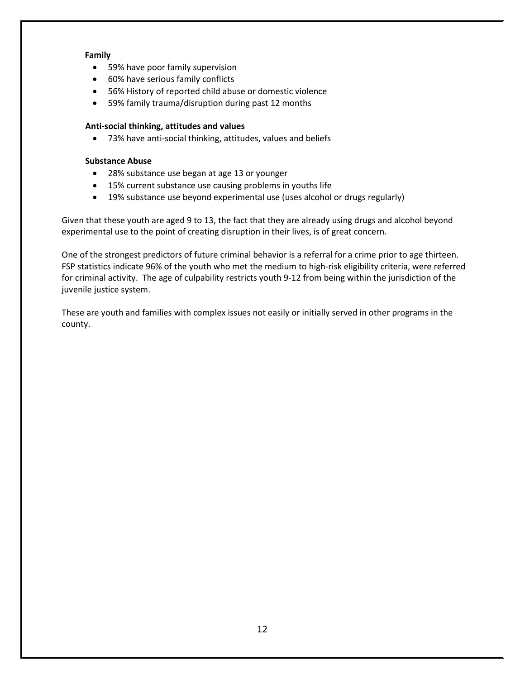### **Family**

- 59% have poor family supervision
- 60% have serious family conflicts
- 56% History of reported child abuse or domestic violence
- 59% family trauma/disruption during past 12 months

### **Anti-social thinking, attitudes and values**

• 73% have anti-social thinking, attitudes, values and beliefs

### **Substance Abuse**

- 28% substance use began at age 13 or younger
- 15% current substance use causing problems in youths life
- 19% substance use beyond experimental use (uses alcohol or drugs regularly)

Given that these youth are aged 9 to 13, the fact that they are already using drugs and alcohol beyond experimental use to the point of creating disruption in their lives, is of great concern.

One of the strongest predictors of future criminal behavior is a referral for a crime prior to age thirteen. FSP statistics indicate 96% of the youth who met the medium to high-risk eligibility criteria, were referred for criminal activity. The age of culpability restricts youth 9-12 from being within the jurisdiction of the juvenile justice system.

These are youth and families with complex issues not easily or initially served in other programs in the county.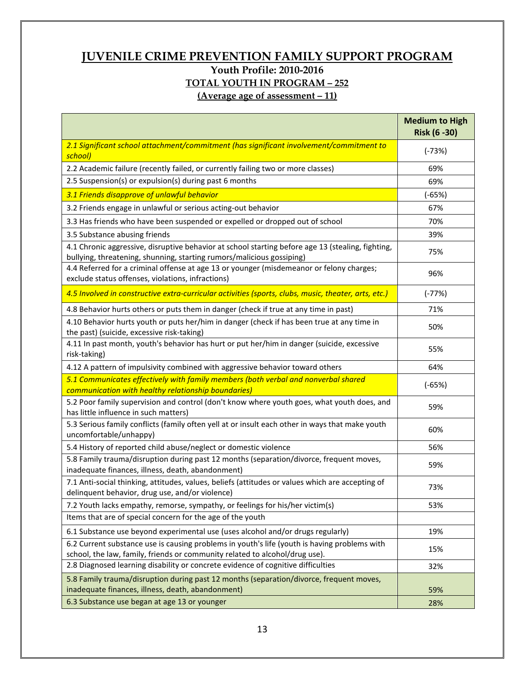# **JUVENILE CRIME PREVENTION FAMILY SUPPORT PROGRAM Youth Profile: 2010-2016 TOTAL YOUTH IN PROGRAM – 252**

**(Average age of assessment – 11)**

|                                                                                                                                                                             | <b>Medium to High</b><br>Risk (6 - 30) |
|-----------------------------------------------------------------------------------------------------------------------------------------------------------------------------|----------------------------------------|
| 2.1 Significant school attachment/commitment (has significant involvement/commitment to<br>school)                                                                          | $(-73%)$                               |
| 2.2 Academic failure (recently failed, or currently failing two or more classes)                                                                                            | 69%                                    |
| 2.5 Suspension(s) or expulsion(s) during past 6 months                                                                                                                      | 69%                                    |
| 3.1 Friends disapprove of unlawful behavior                                                                                                                                 | $(-65%)$                               |
| 3.2 Friends engage in unlawful or serious acting-out behavior                                                                                                               | 67%                                    |
| 3.3 Has friends who have been suspended or expelled or dropped out of school                                                                                                | 70%                                    |
| 3.5 Substance abusing friends                                                                                                                                               | 39%                                    |
| 4.1 Chronic aggressive, disruptive behavior at school starting before age 13 (stealing, fighting,<br>bullying, threatening, shunning, starting rumors/malicious gossiping)  | 75%                                    |
| 4.4 Referred for a criminal offense at age 13 or younger (misdemeanor or felony charges;<br>exclude status offenses, violations, infractions)                               | 96%                                    |
| 4.5 Involved in constructive extra-curricular activities (sports, clubs, music, theater, arts, etc.)                                                                        | $(-77%)$                               |
| 4.8 Behavior hurts others or puts them in danger (check if true at any time in past)                                                                                        | 71%                                    |
| 4.10 Behavior hurts youth or puts her/him in danger (check if has been true at any time in<br>the past) (suicide, excessive risk-taking)                                    | 50%                                    |
| 4.11 In past month, youth's behavior has hurt or put her/him in danger (suicide, excessive<br>risk-taking)                                                                  | 55%                                    |
| 4.12 A pattern of impulsivity combined with aggressive behavior toward others                                                                                               | 64%                                    |
| 5.1 Communicates effectively with family members (both verbal and nonverbal shared<br>communication with healthy relationship boundaries)                                   | $(-65%)$                               |
| 5.2 Poor family supervision and control (don't know where youth goes, what youth does, and<br>has little influence in such matters)                                         | 59%                                    |
| 5.3 Serious family conflicts (family often yell at or insult each other in ways that make youth<br>uncomfortable/unhappy)                                                   | 60%                                    |
| 5.4 History of reported child abuse/neglect or domestic violence                                                                                                            | 56%                                    |
| 5.8 Family trauma/disruption during past 12 months (separation/divorce, frequent moves,<br>inadequate finances, illness, death, abandonment)                                | 59%                                    |
| 7.1 Anti-social thinking, attitudes, values, beliefs (attitudes or values which are accepting of<br>delinquent behavior, drug use, and/or violence)                         | 73%                                    |
| 7.2 Youth lacks empathy, remorse, sympathy, or feelings for his/her victim(s)                                                                                               | 53%                                    |
| Items that are of special concern for the age of the youth                                                                                                                  |                                        |
| 6.1 Substance use beyond experimental use (uses alcohol and/or drugs regularly)                                                                                             | 19%                                    |
| 6.2 Current substance use is causing problems in youth's life (youth is having problems with<br>school, the law, family, friends or community related to alcohol/drug use). | 15%                                    |
| 2.8 Diagnosed learning disability or concrete evidence of cognitive difficulties                                                                                            | 32%                                    |
| 5.8 Family trauma/disruption during past 12 months (separation/divorce, frequent moves,<br>inadequate finances, illness, death, abandonment)                                | 59%                                    |
| 6.3 Substance use began at age 13 or younger                                                                                                                                | 28%                                    |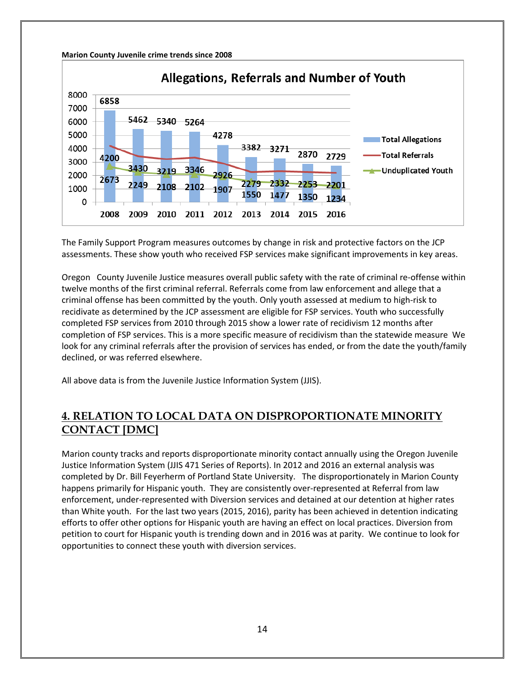#### **Marion County Juvenile crime trends since 2008**



The Family Support Program measures outcomes by change in risk and protective factors on the JCP assessments. These show youth who received FSP services make significant improvements in key areas.

Oregon County Juvenile Justice measures overall public safety with the rate of criminal re-offense within twelve months of the first criminal referral. Referrals come from law enforcement and allege that a criminal offense has been committed by the youth. Only youth assessed at medium to high-risk to recidivate as determined by the JCP assessment are eligible for FSP services. Youth who successfully completed FSP services from 2010 through 2015 show a lower rate of recidivism 12 months after completion of FSP services. This is a more specific measure of recidivism than the statewide measure We look for any criminal referrals after the provision of services has ended, or from the date the youth/family declined, or was referred elsewhere.

All above data is from the Juvenile Justice Information System (JJIS).

### **4. RELATION TO LOCAL DATA ON DISPROPORTIONATE MINORITY CONTACT [DMC]**

Marion county tracks and reports disproportionate minority contact annually using the Oregon Juvenile Justice Information System (JJIS 471 Series of Reports). In 2012 and 2016 an external analysis was completed by Dr. Bill Feyerherm of Portland State University. The disproportionately in Marion County happens primarily for Hispanic youth. They are consistently over-represented at Referral from law enforcement, under-represented with Diversion services and detained at our detention at higher rates than White youth. For the last two years (2015, 2016), parity has been achieved in detention indicating efforts to offer other options for Hispanic youth are having an effect on local practices. Diversion from petition to court for Hispanic youth is trending down and in 2016 was at parity. We continue to look for opportunities to connect these youth with diversion services.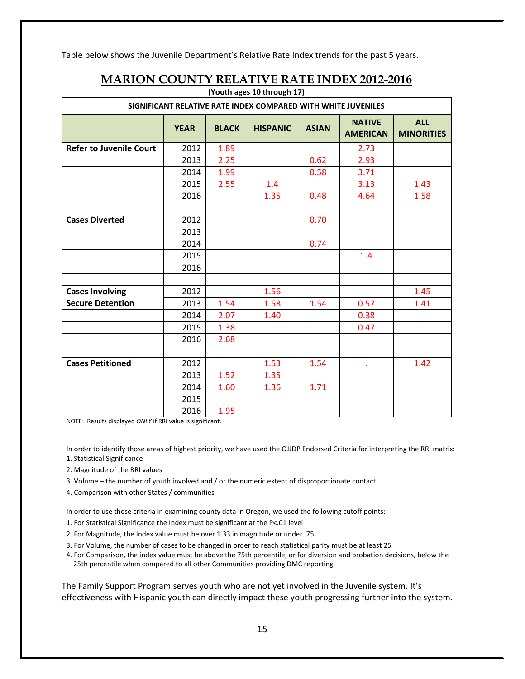Table below shows the Juvenile Department's Relative Rate Index trends for the past 5 years.

| (Youth ages 10 through 17)                                    |             |              |                 |              |                                  |                                 |  |  |
|---------------------------------------------------------------|-------------|--------------|-----------------|--------------|----------------------------------|---------------------------------|--|--|
| SIGNIFICANT RELATIVE RATE INDEX COMPARED WITH WHITE JUVENILES |             |              |                 |              |                                  |                                 |  |  |
|                                                               | <b>YEAR</b> | <b>BLACK</b> | <b>HISPANIC</b> | <b>ASIAN</b> | <b>NATIVE</b><br><b>AMERICAN</b> | <b>ALL</b><br><b>MINORITIES</b> |  |  |
| <b>Refer to Juvenile Court</b>                                | 2012        | 1.89         |                 |              | 2.73                             |                                 |  |  |
|                                                               | 2013        | 2.25         |                 | 0.62         | 2.93                             |                                 |  |  |
|                                                               | 2014        | 1.99         |                 | 0.58         | 3.71                             |                                 |  |  |
|                                                               | 2015        | 2.55         | 1.4             |              | 3.13                             | 1.43                            |  |  |
|                                                               | 2016        |              | 1.35            | 0.48         | 4.64                             | 1.58                            |  |  |
|                                                               |             |              |                 |              |                                  |                                 |  |  |
| <b>Cases Diverted</b>                                         | 2012        |              |                 | 0.70         |                                  |                                 |  |  |
|                                                               | 2013        |              |                 |              |                                  |                                 |  |  |
|                                                               | 2014        |              |                 | 0.74         |                                  |                                 |  |  |
|                                                               | 2015        |              |                 |              | 1.4                              |                                 |  |  |
|                                                               | 2016        |              |                 |              |                                  |                                 |  |  |
|                                                               |             |              |                 |              |                                  |                                 |  |  |
| <b>Cases Involving</b>                                        | 2012        |              | 1.56            |              |                                  | 1.45                            |  |  |
| <b>Secure Detention</b>                                       | 2013        | 1.54         | 1.58            | 1.54         | 0.57                             | 1.41                            |  |  |
|                                                               | 2014        | 2.07         | 1.40            |              | 0.38                             |                                 |  |  |
|                                                               | 2015        | 1.38         |                 |              | 0.47                             |                                 |  |  |
|                                                               | 2016        | 2.68         |                 |              |                                  |                                 |  |  |
|                                                               |             |              |                 |              |                                  |                                 |  |  |
| <b>Cases Petitioned</b>                                       | 2012        |              | 1.53            | 1.54         | ٠                                | 1.42                            |  |  |
|                                                               | 2013        | 1.52         | 1.35            |              |                                  |                                 |  |  |
|                                                               | 2014        | 1.60         | 1.36            | 1.71         |                                  |                                 |  |  |
|                                                               | 2015        |              |                 |              |                                  |                                 |  |  |
|                                                               | 2016        | 1.95         |                 |              |                                  |                                 |  |  |

### **MARION COUNTY RELATIVE RATE INDEX 2012-2016**

NOTE: Results displayed *ONLY* if RRI value is significant.

In order to identify those areas of highest priority, we have used the OJJDP Endorsed Criteria for interpreting the RRI matrix: 1. Statistical Significance

- 2. Magnitude of the RRI values
- 3. Volume the number of youth involved and / or the numeric extent of disproportionate contact.
- 4. Comparison with other States / communities

In order to use these criteria in examining county data in Oregon, we used the following cutoff points:

- 1. For Statistical Significance the Index must be significant at the P<.01 level
- 2. For Magnitude, the Index value must be over 1.33 in magnitude or under .75
- 3. For Volume, the number of cases to be changed in order to reach statistical parity must be at least 25
- 4. For Comparison, the index value must be above the 75th percentile, or for diversion and probation decisions, below the 25th percentile when compared to all other Communities providing DMC reporting.

The Family Support Program serves youth who are not yet involved in the Juvenile system. It's effectiveness with Hispanic youth can directly impact these youth progressing further into the system.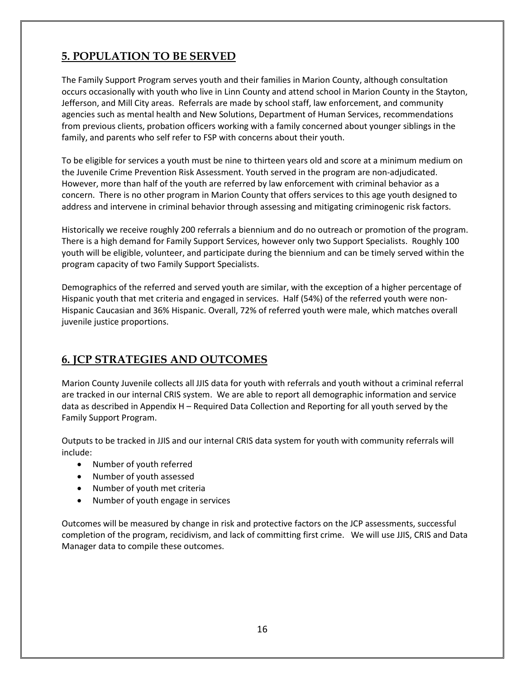## **5. POPULATION TO BE SERVED**

The Family Support Program serves youth and their families in Marion County, although consultation occurs occasionally with youth who live in Linn County and attend school in Marion County in the Stayton, Jefferson, and Mill City areas. Referrals are made by school staff, law enforcement, and community agencies such as mental health and New Solutions, Department of Human Services, recommendations from previous clients, probation officers working with a family concerned about younger siblings in the family, and parents who self refer to FSP with concerns about their youth.

To be eligible for services a youth must be nine to thirteen years old and score at a minimum medium on the Juvenile Crime Prevention Risk Assessment. Youth served in the program are non-adjudicated. However, more than half of the youth are referred by law enforcement with criminal behavior as a concern. There is no other program in Marion County that offers services to this age youth designed to address and intervene in criminal behavior through assessing and mitigating criminogenic risk factors.

Historically we receive roughly 200 referrals a biennium and do no outreach or promotion of the program. There is a high demand for Family Support Services, however only two Support Specialists. Roughly 100 youth will be eligible, volunteer, and participate during the biennium and can be timely served within the program capacity of two Family Support Specialists.

Demographics of the referred and served youth are similar, with the exception of a higher percentage of Hispanic youth that met criteria and engaged in services. Half (54%) of the referred youth were non-Hispanic Caucasian and 36% Hispanic. Overall, 72% of referred youth were male, which matches overall juvenile justice proportions.

# **6. JCP STRATEGIES AND OUTCOMES**

Marion County Juvenile collects all JJIS data for youth with referrals and youth without a criminal referral are tracked in our internal CRIS system. We are able to report all demographic information and service data as described in Appendix H – Required Data Collection and Reporting for all youth served by the Family Support Program.

Outputs to be tracked in JJIS and our internal CRIS data system for youth with community referrals will include:

- Number of youth referred
- Number of youth assessed
- Number of youth met criteria
- Number of youth engage in services

Outcomes will be measured by change in risk and protective factors on the JCP assessments, successful completion of the program, recidivism, and lack of committing first crime. We will use JJIS, CRIS and Data Manager data to compile these outcomes.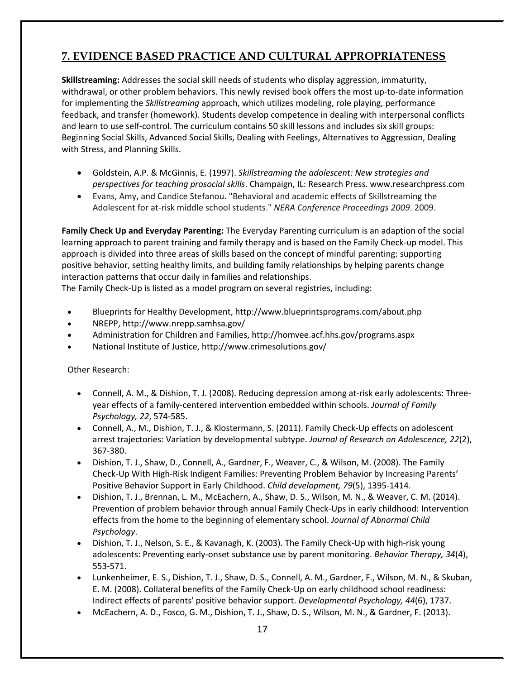# **7. EVIDENCE BASED PRACTICE AND CULTURAL APPROPRIATENESS**

**Skillstreaming:** Addresses the social skill needs of students who display aggression, immaturity, withdrawal, or other problem behaviors. This newly revised book offers the most up-to-date information for implementing the *Skillstreaming* approach, which utilizes modeling, role playing, performance feedback, and transfer (homework). Students develop competence in dealing with interpersonal conflicts and learn to use self-control. The curriculum contains 50 skill lessons and includes six skill groups: Beginning Social Skills, Advanced Social Skills, Dealing with Feelings, Alternatives to Aggression, Dealing with Stress, and Planning Skills.

- Goldstein, A.P. & McGinnis, E. (1997). *Skillstreaming the adolescent: New strategies and perspectives for teaching prosocial skills*. Champaign, IL: Research Press. www.researchpress.com
- Evans, Amy, and Candice Stefanou. "Behavioral and academic effects of Skillstreaming the Adolescent for at-risk middle school students." *NERA Conference Proceedings 2009*. 2009.

**Family Check Up and Everyday Parenting:** The Everyday Parenting curriculum is an adaption of the social learning approach to parent training and family therapy and is based on the Family Check-up model. This approach is divided into three areas of skills based on the concept of mindful parenting: supporting positive behavior, setting healthy limits, and building family relationships by helping parents change interaction patterns that occur daily in families and relationships.

The Family Check-Up is listed as a model program on several registries, including:

- Blueprints for Healthy Development[, http://www.blueprintsprograms.com/about.php](http://www.blueprintsprograms.com/about.php)
- NREPP,<http://www.nrepp.samhsa.gov/>
- Administration for Children and Families[, http://homvee.acf.hhs.gov/programs.aspx](http://homvee.acf.hhs.gov/programs.aspx)
- National Institute of Justice,<http://www.crimesolutions.gov/>

Other Research:

- Connell, A. M., & Dishion, T. J. (2008). Reducing depression among at-risk early adolescents: Threeyear effects of a family-centered intervention embedded within schools. *Journal of Family Psychology, 22*, 574-585.
- Connell, A., M., Dishion, T. J., & Klostermann, S. (2011). Family Check-Up effects on adolescent arrest trajectories: Variation by developmental subtype. *Journal of Research on Adolescence, 22*(2), 367-380.
- Dishion, T. J., Shaw, D., Connell, A., Gardner, F., Weaver, C., & Wilson, M. (2008). The Family Check-Up With High-Risk Indigent Families: Preventing Problem Behavior by Increasing Parents' Positive Behavior Support in Early Childhood. *Child development, 79*(5), 1395-1414.
- Dishion, T. J., Brennan, L. M., McEachern, A., Shaw, D. S., Wilson, M. N., & Weaver, C. M. (2014). Prevention of problem behavior through annual Family Check-Ups in early childhood: Intervention effects from the home to the beginning of elementary school. *Journal of Abnormal Child Psychology*.
- Dishion, T. J., Nelson, S. E., & Kavanagh, K. (2003). The Family Check-Up with high-risk young adolescents: Preventing early-onset substance use by parent monitoring. *Behavior Therapy, 34*(4), 553-571.
- Lunkenheimer, E. S., Dishion, T. J., Shaw, D. S., Connell, A. M., Gardner, F., Wilson, M. N., & Skuban, E. M. (2008). Collateral benefits of the Family Check-Up on early childhood school readiness: Indirect effects of parents' positive behavior support. *Developmental Psychology, 44*(6), 1737.
- McEachern, A. D., Fosco, G. M., Dishion, T. J., Shaw, D. S., Wilson, M. N., & Gardner, F. (2013).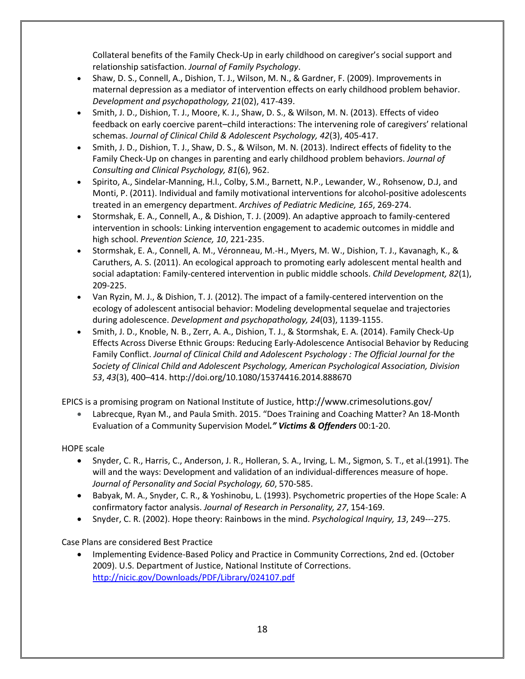Collateral benefits of the Family Check-Up in early childhood on caregiver's social support and relationship satisfaction. *Journal of Family Psychology*.

- Shaw, D. S., Connell, A., Dishion, T. J., Wilson, M. N., & Gardner, F. (2009). Improvements in maternal depression as a mediator of intervention effects on early childhood problem behavior. *Development and psychopathology, 21*(02), 417-439.
- Smith, J. D., Dishion, T. J., Moore, K. J., Shaw, D. S., & Wilson, M. N. (2013). Effects of video feedback on early coercive parent–child interactions: The intervening role of caregivers' relational schemas. *Journal of Clinical Child & Adolescent Psychology, 42*(3), 405-417.
- Smith, J. D., Dishion, T. J., Shaw, D. S., & Wilson, M. N. (2013). Indirect effects of fidelity to the Family Check-Up on changes in parenting and early childhood problem behaviors. *Journal of Consulting and Clinical Psychology, 81*(6), 962.
- Spirito, A., Sindelar-Manning, H.l., Colby, S.M., Barnett, N.P., Lewander, W., Rohsenow, D.J, and Monti, P. (2011). Individual and family motivational interventions for alcohol-positive adolescents treated in an emergency department. *Archives of Pediatric Medicine, 165*, 269-274.
- Stormshak, E. A., Connell, A., & Dishion, T. J. (2009). An adaptive approach to family-centered intervention in schools: Linking intervention engagement to academic outcomes in middle and high school. *Prevention Science, 10*, 221-235.
- Stormshak, E. A., Connell, A. M., Véronneau, M.-H., Myers, M. W., Dishion, T. J., Kavanagh, K., & Caruthers, A. S. (2011). An ecological approach to promoting early adolescent mental health and social adaptation: Family-centered intervention in public middle schools. *Child Development, 82*(1), 209-225.
- Van Ryzin, M. J., & Dishion, T. J. (2012). The impact of a family-centered intervention on the ecology of adolescent antisocial behavior: Modeling developmental sequelae and trajectories during adolescence. *Development and psychopathology, 24*(03), 1139-1155.
- Smith, J. D., Knoble, N. B., Zerr, A. A., Dishion, T. J., & Stormshak, E. A. (2014). Family Check-Up Effects Across Diverse Ethnic Groups: Reducing Early-Adolescence Antisocial Behavior by Reducing Family Conflict. *Journal of Clinical Child and Adolescent Psychology : The Official Journal for the Society of Clinical Child and Adolescent Psychology, American Psychological Association, Division 53*, *43*(3), 400–414. http://doi.org/10.1080/15374416.2014.888670

EPICS is a promising program on National Institute of Justice[, http://www.crimesolutions.gov/](http://www.crimesolutions.gov/)

• Labrecque, Ryan M., and Paula Smith. 2015. "Does Training and Coaching Matter? An 18-Month Evaluation of a Community Supervision Model*." Victims & Offenders* 00:1-20.

### HOPE scale

- Snyder, C. R., Harris, C., Anderson, J. R., Holleran, S. A., Irving, L. M., Sigmon, S. T., et al.(1991). The will and the ways: Development and validation of an individual-differences measure of hope. *Journal of Personality and Social Psychology, 60*, 570-585.
- Babyak, M. A., Snyder, C. R., & Yoshinobu, L. (1993). Psychometric properties of the Hope Scale: A confirmatory factor analysis. *Journal of Research in Personality, 27*, 154-169.
- Snyder, C. R. (2002). Hope theory: Rainbows in the mind. *Psychological Inquiry, 13*, 249---275.

Case Plans are considered Best Practice

• Implementing Evidence-Based Policy and Practice in Community Corrections, 2nd ed. (October 2009). U.S. Department of Justice, National Institute of Corrections. <http://nicic.gov/Downloads/PDF/Library/024107.pdf>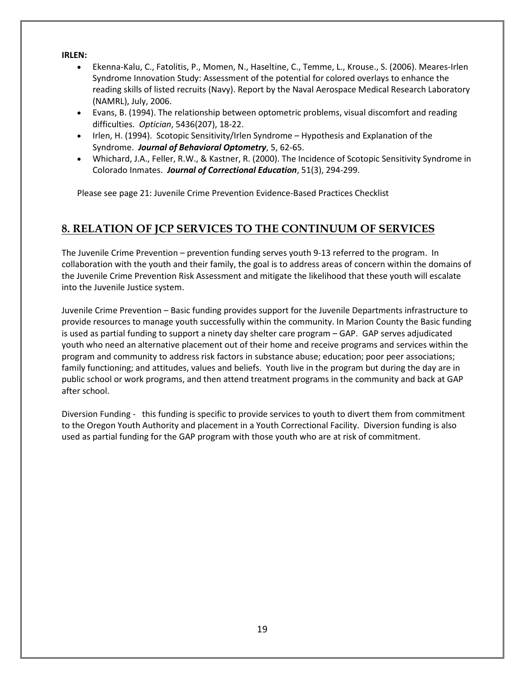#### **IRLEN:**

- Ekenna-Kalu, C., Fatolitis, P., Momen, N., Haseltine, C., Temme, L., Krouse., S. (2006). Meares-Irlen Syndrome Innovation Study: Assessment of the potential for colored overlays to enhance the reading skills of listed recruits (Navy). Report by the Naval Aerospace Medical Research Laboratory (NAMRL), July, 2006.
- Evans, B. (1994). The relationship between optometric problems, visual discomfort and reading difficulties. *Optician*, 5436(207), 18-22.
- Irlen, H. (1994). Scotopic Sensitivity/Irlen Syndrome Hypothesis and Explanation of the Syndrome. *Journal of Behavioral Optometry*, 5, 62-65.
- Whichard, J.A., Feller, R.W., & Kastner, R. (2000). The Incidence of Scotopic Sensitivity Syndrome in Colorado Inmates. *Journal of Correctional Education*, 51(3), 294-299.

Please see page 21: Juvenile Crime Prevention Evidence-Based Practices Checklist

### **8. RELATION OF JCP SERVICES TO THE CONTINUUM OF SERVICES**

The Juvenile Crime Prevention – prevention funding serves youth 9-13 referred to the program. In collaboration with the youth and their family, the goal is to address areas of concern within the domains of the Juvenile Crime Prevention Risk Assessment and mitigate the likelihood that these youth will escalate into the Juvenile Justice system.

Juvenile Crime Prevention – Basic funding provides support for the Juvenile Departments infrastructure to provide resources to manage youth successfully within the community. In Marion County the Basic funding is used as partial funding to support a ninety day shelter care program – GAP. GAP serves adjudicated youth who need an alternative placement out of their home and receive programs and services within the program and community to address risk factors in substance abuse; education; poor peer associations; family functioning; and attitudes, values and beliefs. Youth live in the program but during the day are in public school or work programs, and then attend treatment programs in the community and back at GAP after school.

Diversion Funding - this funding is specific to provide services to youth to divert them from commitment to the Oregon Youth Authority and placement in a Youth Correctional Facility. Diversion funding is also used as partial funding for the GAP program with those youth who are at risk of commitment.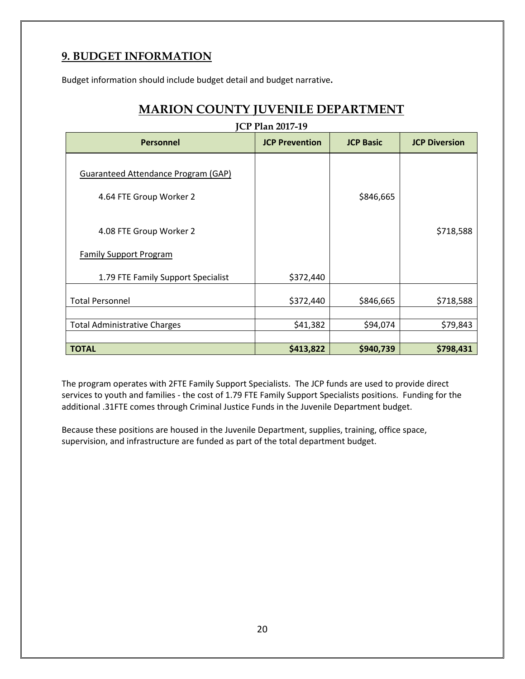### **9. BUDGET INFORMATION**

Budget information should include budget detail and budget narrative**.**

| <b>Personnel</b>                                                    | <b>JCP Prevention</b> | <b>JCP Basic</b> | <b>JCP Diversion</b> |
|---------------------------------------------------------------------|-----------------------|------------------|----------------------|
| Guaranteed Attendance Program (GAP)<br>4.64 FTE Group Worker 2      |                       | \$846,665        |                      |
| 4.08 FTE Group Worker 2                                             |                       |                  | \$718,588            |
| <b>Family Support Program</b><br>1.79 FTE Family Support Specialist | \$372,440             |                  |                      |
| <b>Total Personnel</b>                                              | \$372,440             | \$846,665        | \$718,588            |
| <b>Total Administrative Charges</b>                                 | \$41,382              | \$94,074         | \$79,843             |
| <b>TOTAL</b>                                                        | \$413,822             | \$940,739        | \$798,431            |

The program operates with 2FTE Family Support Specialists. The JCP funds are used to provide direct services to youth and families - the cost of 1.79 FTE Family Support Specialists positions. Funding for the additional .31FTE comes through Criminal Justice Funds in the Juvenile Department budget.

Because these positions are housed in the Juvenile Department, supplies, training, office space, supervision, and infrastructure are funded as part of the total department budget.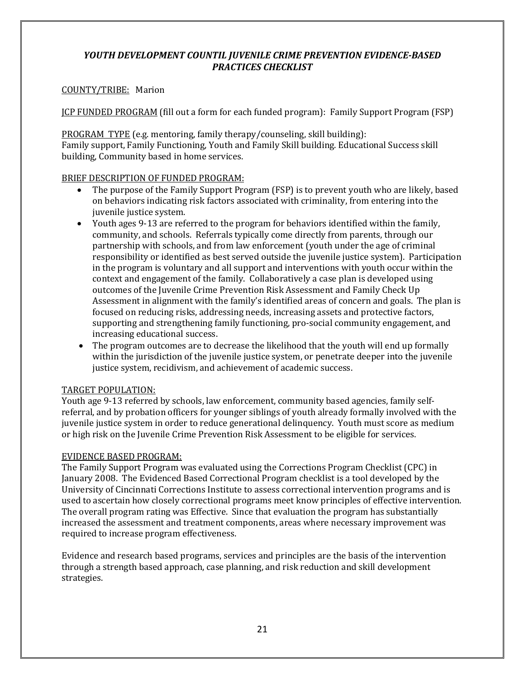### *YOUTH DEVELOPMENT COUNTIL JUVENILE CRIME PREVENTION EVIDENCE-BASED PRACTICES CHECKLIST*

### COUNTY/TRIBE: Marion

JCP FUNDED PROGRAM (fill out a form for each funded program): Family Support Program (FSP)

PROGRAM TYPE (e.g. mentoring, family therapy/counseling, skill building): Family support, Family Functioning, Youth and Family Skill building. Educational Success skill building, Community based in home services.

### BRIEF DESCRIPTION OF FUNDED PROGRAM:

- The purpose of the Family Support Program (FSP) is to prevent youth who are likely, based on behaviors indicating risk factors associated with criminality, from entering into the juvenile justice system.
- Youth ages 9-13 are referred to the program for behaviors identified within the family, community, and schools. Referrals typically come directly from parents, through our partnership with schools, and from law enforcement (youth under the age of criminal responsibility or identified as best served outside the juvenile justice system). Participation in the program is voluntary and all support and interventions with youth occur within the context and engagement of the family. Collaboratively a case plan is developed using outcomes of the Juvenile Crime Prevention Risk Assessment and Family Check Up Assessment in alignment with the family's identified areas of concern and goals. The plan is focused on reducing risks, addressing needs, increasing assets and protective factors, supporting and strengthening family functioning, pro-social community engagement, and increasing educational success.
- The program outcomes are to decrease the likelihood that the youth will end up formally within the jurisdiction of the juvenile justice system, or penetrate deeper into the juvenile justice system, recidivism, and achievement of academic success.

### TARGET POPULATION:

Youth age 9-13 referred by schools, law enforcement, community based agencies, family selfreferral, and by probation officers for younger siblings of youth already formally involved with the juvenile justice system in order to reduce generational delinquency. Youth must score as medium or high risk on the Juvenile Crime Prevention Risk Assessment to be eligible for services.

### EVIDENCE BASED PROGRAM:

The Family Support Program was evaluated using the Corrections Program Checklist (CPC) in January 2008. The Evidenced Based Correctional Program checklist is a tool developed by the University of Cincinnati Corrections Institute to assess correctional intervention programs and is used to ascertain how closely correctional programs meet know principles of effective intervention. The overall program rating was Effective. Since that evaluation the program has substantially increased the assessment and treatment components, areas where necessary improvement was required to increase program effectiveness.

Evidence and research based programs, services and principles are the basis of the intervention through a strength based approach, case planning, and risk reduction and skill development strategies.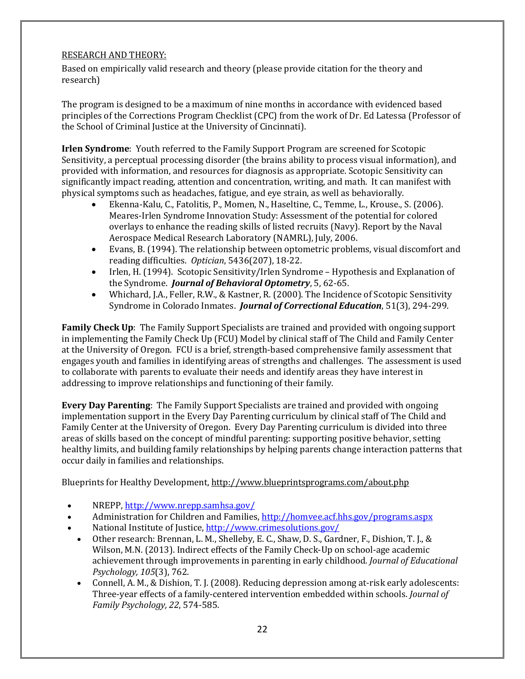### RESEARCH AND THEORY:

Based on empirically valid research and theory (please provide citation for the theory and research)

The program is designed to be a maximum of nine months in accordance with evidenced based principles of the Corrections Program Checklist (CPC) from the work of Dr. Ed Latessa (Professor of the School of Criminal Justice at the University of Cincinnati).

**Irlen Syndrome**: Youth referred to the Family Support Program are screened for Scotopic Sensitivity, a perceptual processing disorder (the brains ability to process visual information), and provided with information, and resources for diagnosis as appropriate. Scotopic Sensitivity can significantly impact reading, attention and concentration, writing, and math. It can manifest with physical symptoms such as headaches, fatigue, and eye strain, as well as behaviorally.

- Ekenna-Kalu, C., Fatolitis, P., Momen, N., Haseltine, C., Temme, L., Krouse., S. (2006). Meares-Irlen Syndrome Innovation Study: Assessment of the potential for colored overlays to enhance the reading skills of listed recruits (Navy). Report by the Naval Aerospace Medical Research Laboratory (NAMRL), July, 2006.
- Evans, B. (1994). The relationship between optometric problems, visual discomfort and reading difficulties. *Optician*, 5436(207), 18-22.
- Irlen, H. (1994). Scotopic Sensitivity/Irlen Syndrome Hypothesis and Explanation of the Syndrome. *Journal of Behavioral Optometry*, 5, 62-65.
- Whichard, J.A., Feller, R.W., & Kastner, R. (2000). The Incidence of Scotopic Sensitivity Syndrome in Colorado Inmates. *Journal of Correctional Education*, 51(3), 294-299.

**Family Check Up**: The Family Support Specialists are trained and provided with ongoing support in implementing the Family Check Up (FCU) Model by clinical staff of The Child and Family Center at the University of Oregon. FCU is a brief, strength-based comprehensive family assessment that engages youth and families in identifying areas of strengths and challenges. The assessment is used to collaborate with parents to evaluate their needs and identify areas they have interest in addressing to improve relationships and functioning of their family.

**Every Day Parenting**: The Family Support Specialists are trained and provided with ongoing implementation support in the Every Day Parenting curriculum by clinical staff of The Child and Family Center at the University of Oregon. Every Day Parenting curriculum is divided into three areas of skills based on the concept of mindful parenting: supporting positive behavior, setting healthy limits, and building family relationships by helping parents change interaction patterns that occur daily in families and relationships.

Blueprints for Healthy Development[, http://www.blueprintsprograms.com/about.php](http://www.blueprintsprograms.com/about.php)

- NREPP,<http://www.nrepp.samhsa.gov/>
- Administration for Children and Families,<http://homvee.acf.hhs.gov/programs.aspx>
- National Institute of Justice,<http://www.crimesolutions.gov/>
	- Other research: Brennan, L. M., Shelleby, E. C., Shaw, D. S., Gardner, F., Dishion, T. J., & Wilson, M.N. (2013). Indirect effects of the Family Check-Up on school-age academic achievement through improvements in parenting in early childhood. *Journal of Educational Psychology, 105*(3), 762.
	- Connell, A. M., & Dishion, T. J. (2008). Reducing depression among at-risk early adolescents: Three-year effects of a family-centered intervention embedded within schools. *Journal of Family Psychology, 22*, 574-585.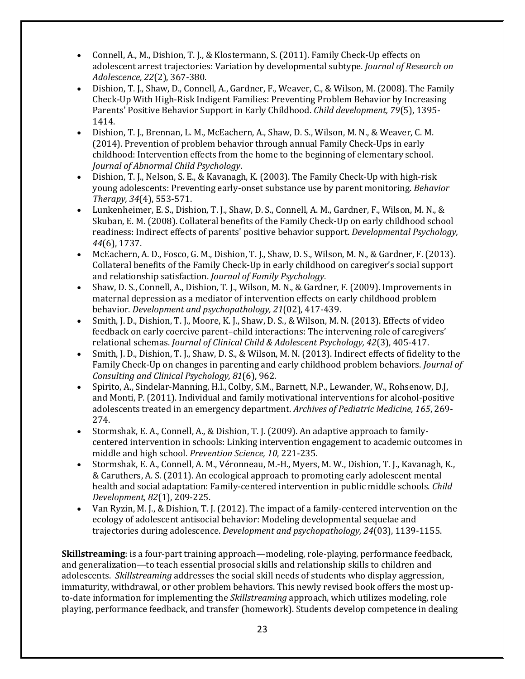- Connell, A., M., Dishion, T. J., & Klostermann, S. (2011). Family Check-Up effects on adolescent arrest trajectories: Variation by developmental subtype. *Journal of Research on Adolescence, 22*(2), 367-380.
- Dishion, T. J., Shaw, D., Connell, A., Gardner, F., Weaver, C., & Wilson, M. (2008). The Family Check-Up With High-Risk Indigent Families: Preventing Problem Behavior by Increasing Parents' Positive Behavior Support in Early Childhood. *Child development, 79*(5), 1395- 1414.
- Dishion, T. J., Brennan, L. M., McEachern, A., Shaw, D. S., Wilson, M. N., & Weaver, C. M. (2014). Prevention of problem behavior through annual Family Check-Ups in early childhood: Intervention effects from the home to the beginning of elementary school. *Journal of Abnormal Child Psychology*.
- Dishion, T. J., Nelson, S. E., & Kavanagh, K. (2003). The Family Check-Up with high-risk young adolescents: Preventing early-onset substance use by parent monitoring. *Behavior Therapy, 34*(4), 553-571.
- Lunkenheimer, E. S., Dishion, T. J., Shaw, D. S., Connell, A. M., Gardner, F., Wilson, M. N., & Skuban, E. M. (2008). Collateral benefits of the Family Check-Up on early childhood school readiness: Indirect effects of parents' positive behavior support. *Developmental Psychology, 44*(6), 1737.
- McEachern, A. D., Fosco, G. M., Dishion, T. J., Shaw, D. S., Wilson, M. N., & Gardner, F. (2013). Collateral benefits of the Family Check-Up in early childhood on caregiver's social support and relationship satisfaction. *Journal of Family Psychology*.
- Shaw, D. S., Connell, A., Dishion, T. J., Wilson, M. N., & Gardner, F. (2009). Improvements in maternal depression as a mediator of intervention effects on early childhood problem behavior. *Development and psychopathology, 21*(02), 417-439.
- Smith, J. D., Dishion, T. J., Moore, K. J., Shaw, D. S., & Wilson, M. N. (2013). Effects of video feedback on early coercive parent–child interactions: The intervening role of caregivers' relational schemas. *Journal of Clinical Child & Adolescent Psychology, 42*(3), 405-417.
- Smith, J. D., Dishion, T. J., Shaw, D. S., & Wilson, M. N. (2013). Indirect effects of fidelity to the Family Check-Up on changes in parenting and early childhood problem behaviors. *Journal of Consulting and Clinical Psychology, 81*(6), 962.
- Spirito, A., Sindelar-Manning, H.l., Colby, S.M., Barnett, N.P., Lewander, W., Rohsenow, D.J, and Monti, P. (2011). Individual and family motivational interventions for alcohol-positive adolescents treated in an emergency department. *Archives of Pediatric Medicine, 165*, 269- 274.
- Stormshak, E. A., Connell, A., & Dishion, T. J. (2009). An adaptive approach to familycentered intervention in schools: Linking intervention engagement to academic outcomes in middle and high school. *Prevention Science, 10*, 221-235.
- Stormshak, E. A., Connell, A. M., Véronneau, M.-H., Myers, M. W., Dishion, T. J., Kavanagh, K., & Caruthers, A. S. (2011). An ecological approach to promoting early adolescent mental health and social adaptation: Family-centered intervention in public middle schools. *Child Development, 82*(1), 209-225.
- Van Ryzin, M. J., & Dishion, T. J. (2012). The impact of a family-centered intervention on the ecology of adolescent antisocial behavior: Modeling developmental sequelae and trajectories during adolescence. *Development and psychopathology, 24*(03), 1139-1155.

**Skillstreaming**: is a four-part training approach—modeling, role-playing, performance feedback, and generalization—to teach essential prosocial skills and relationship skills to children and adolescents. *Skillstreaming* addresses the social skill needs of students who display aggression, immaturity, withdrawal, or other problem behaviors. This newly revised book offers the most upto-date information for implementing the *Skillstreaming* approach, which utilizes modeling, role playing, performance feedback, and transfer (homework). Students develop competence in dealing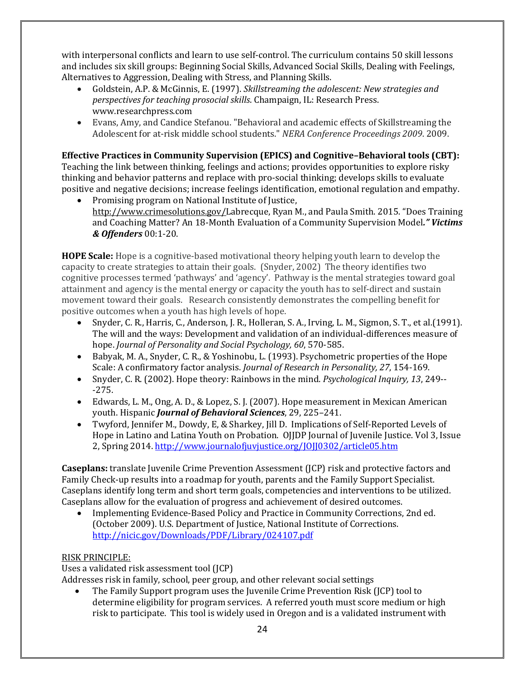with interpersonal conflicts and learn to use self-control. The curriculum contains 50 skill lessons and includes six skill groups: Beginning Social Skills, Advanced Social Skills, Dealing with Feelings, Alternatives to Aggression, Dealing with Stress, and Planning Skills.

- Goldstein, A.P. & McGinnis, E. (1997). *Skillstreaming the adolescent: New strategies and perspectives for teaching prosocial skills*. Champaign, IL: Research Press. www.researchpress.com
- Evans, Amy, and Candice Stefanou. "Behavioral and academic effects of Skillstreaming the Adolescent for at-risk middle school students." *NERA Conference Proceedings 2009*. 2009.

**Effective Practices in Community Supervision (EPICS) and Cognitive–Behavioral tools (CBT):** Teaching the link between thinking, feelings and actions; provides opportunities to explore risky thinking and behavior patterns and replace with pro-social thinking; develops skills to evaluate positive and negative decisions; increase feelings identification, emotional regulation and empathy.

• Promising program on National Institute of Justice, [http://www.crimesolutions.gov/L](http://www.crimesolutions.gov/)abrecque, Ryan M., and Paula Smith. 2015. "Does Training and Coaching Matter? An 18-Month Evaluation of a Community Supervision Model*." Victims & Offenders* 00:1-20.

**HOPE Scale:** Hope is a cognitive-based motivational theory helping youth learn to develop the capacity to create strategies to attain their goals. (Snyder, 2002) The theory identifies two cognitive processes termed 'pathways' and 'agency'. Pathway is the mental strategies toward goal attainment and agency is the mental energy or capacity the youth has to self-direct and sustain movement toward their goals. Research consistently demonstrates the compelling benefit for positive outcomes when a youth has high levels of hope.

- Snyder, C. R., Harris, C., Anderson, J. R., Holleran, S. A., Irving, L. M., Sigmon, S. T., et al. (1991). The will and the ways: Development and validation of an individual-differences measure of hope. *Journal of Personality and Social Psychology, 60*, 570-585.
- Babyak, M. A., Snyder, C. R., & Yoshinobu, L. (1993). Psychometric properties of the Hope Scale: A confirmatory factor analysis. *Journal of Research in Personality, 27*, 154-169.
- Snyder, C. R. (2002). Hope theory: Rainbows in the mind. *Psychological Inquiry, 13*, 249-- -275.
- Edwards, L. M., Ong, A. D., & Lopez, S. J. (2007). Hope measurement in Mexican American youth. Hispanic *Journal of Behavioral Sciences*, 29, 225–241.
- Twyford, Jennifer M., Dowdy, E, & Sharkey, Jill D. Implications of Self-Reported Levels of Hope in Latino and Latina Youth on Probation. OJJDP Journal of Juvenile Justice. Vol 3, Issue 2, Spring 2014.<http://www.journalofjuvjustice.org/JOJJ0302/article05.htm>

**Caseplans:** translate Juvenile Crime Prevention Assessment (JCP) risk and protective factors and Family Check-up results into a roadmap for youth, parents and the Family Support Specialist. Caseplans identify long term and short term goals, competencies and interventions to be utilized. Caseplans allow for the evaluation of progress and achievement of desired outcomes.<br>• Implementing Evidence-Based Policy and Practice in Community Corrections.

• Implementing Evidence-Based Policy and Practice in Community Corrections, 2nd ed. (October 2009). U.S. Department of Justice, National Institute of Corrections. <http://nicic.gov/Downloads/PDF/Library/024107.pdf>

### RISK PRINCIPLE:

Uses a validated risk assessment tool (JCP)

Addresses risk in family, school, peer group, and other relevant social settings

• The Family Support program uses the Juvenile Crime Prevention Risk (JCP) tool to determine eligibility for program services. A referred youth must score medium or high risk to participate. This tool is widely used in Oregon and is a validated instrument with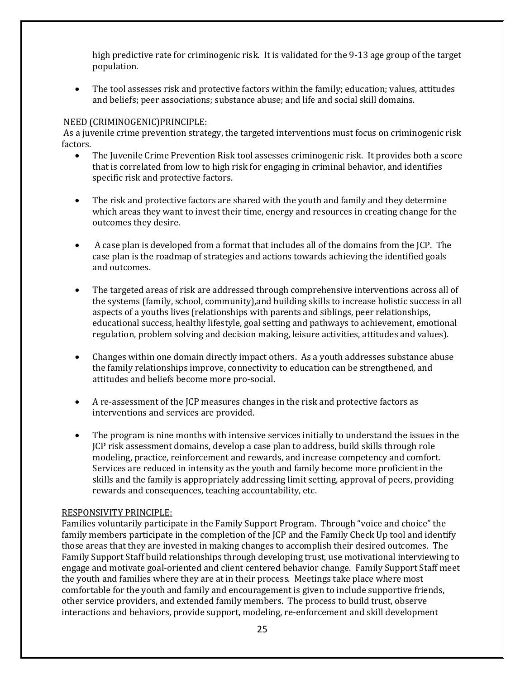high predictive rate for criminogenic risk. It is validated for the 9-13 age group of the target population.

• The tool assesses risk and protective factors within the family; education; values, attitudes and beliefs; peer associations; substance abuse; and life and social skill domains.

### NEED (CRIMINOGENIC)PRINCIPLE:

As a juvenile crime prevention strategy, the targeted interventions must focus on criminogenic risk factors.

- The Juvenile Crime Prevention Risk tool assesses criminogenic risk. It provides both a score that is correlated from low to high risk for engaging in criminal behavior, and identifies specific risk and protective factors.
- The risk and protective factors are shared with the youth and family and they determine which areas they want to invest their time, energy and resources in creating change for the outcomes they desire.
- A case plan is developed from a format that includes all of the domains from the JCP. The case plan is the roadmap of strategies and actions towards achieving the identified goals and outcomes.
- The targeted areas of risk are addressed through comprehensive interventions across all of the systems (family, school, community),and building skills to increase holistic success in all aspects of a youths lives (relationships with parents and siblings, peer relationships, educational success, healthy lifestyle, goal setting and pathways to achievement, emotional regulation, problem solving and decision making, leisure activities, attitudes and values).
- Changes within one domain directly impact others. As a youth addresses substance abuse the family relationships improve, connectivity to education can be strengthened, and attitudes and beliefs become more pro-social.
- A re-assessment of the JCP measures changes in the risk and protective factors as interventions and services are provided.
- The program is nine months with intensive services initially to understand the issues in the JCP risk assessment domains, develop a case plan to address, build skills through role modeling, practice, reinforcement and rewards, and increase competency and comfort. Services are reduced in intensity as the youth and family become more proficient in the skills and the family is appropriately addressing limit setting, approval of peers, providing rewards and consequences, teaching accountability, etc.

### RESPONSIVITY PRINCIPLE:

Families voluntarily participate in the Family Support Program. Through "voice and choice" the family members participate in the completion of the JCP and the Family Check Up tool and identify those areas that they are invested in making changes to accomplish their desired outcomes. The Family Support Staff build relationships through developing trust, use motivational interviewing to engage and motivate goal-oriented and client centered behavior change. Family Support Staff meet the youth and families where they are at in their process. Meetings take place where most comfortable for the youth and family and encouragement is given to include supportive friends, other service providers, and extended family members. The process to build trust, observe interactions and behaviors, provide support, modeling, re-enforcement and skill development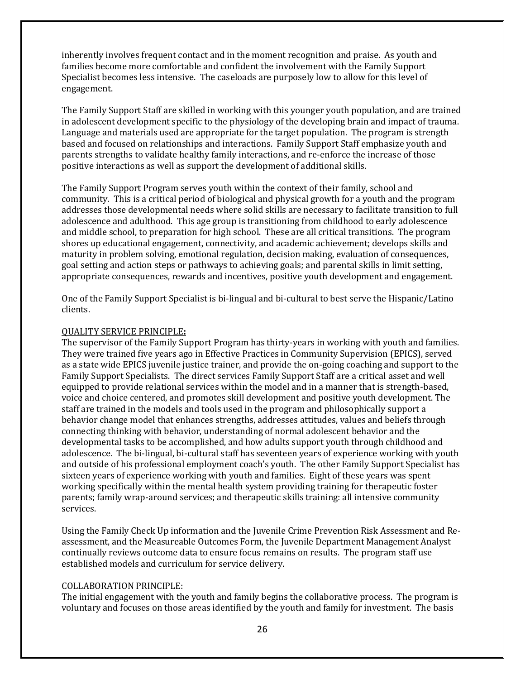inherently involves frequent contact and in the moment recognition and praise. As youth and families become more comfortable and confident the involvement with the Family Support Specialist becomes less intensive. The caseloads are purposely low to allow for this level of engagement.

The Family Support Staff are skilled in working with this younger youth population, and are trained in adolescent development specific to the physiology of the developing brain and impact of trauma. Language and materials used are appropriate for the target population. The program is strength based and focused on relationships and interactions. Family Support Staff emphasize youth and parents strengths to validate healthy family interactions, and re-enforce the increase of those positive interactions as well as support the development of additional skills.

The Family Support Program serves youth within the context of their family, school and community. This is a critical period of biological and physical growth for a youth and the program addresses those developmental needs where solid skills are necessary to facilitate transition to full adolescence and adulthood. This age group is transitioning from childhood to early adolescence and middle school, to preparation for high school. These are all critical transitions. The program shores up educational engagement, connectivity, and academic achievement; develops skills and maturity in problem solving, emotional regulation, decision making, evaluation of consequences, goal setting and action steps or pathways to achieving goals; and parental skills in limit setting, appropriate consequences, rewards and incentives, positive youth development and engagement.

One of the Family Support Specialist is bi-lingual and bi-cultural to best serve the Hispanic/Latino clients.

#### QUALITY SERVICE PRINCIPLE**:**

The supervisor of the Family Support Program has thirty-years in working with youth and families. They were trained five years ago in Effective Practices in Community Supervision (EPICS), served as a state wide EPICS juvenile justice trainer, and provide the on-going coaching and support to the Family Support Specialists. The direct services Family Support Staff are a critical asset and well equipped to provide relational services within the model and in a manner that is strength-based, voice and choice centered, and promotes skill development and positive youth development. The staff are trained in the models and tools used in the program and philosophically support a behavior change model that enhances strengths, addresses attitudes, values and beliefs through connecting thinking with behavior, understanding of normal adolescent behavior and the developmental tasks to be accomplished, and how adults support youth through childhood and adolescence. The bi-lingual, bi-cultural staff has seventeen years of experience working with youth and outside of his professional employment coach's youth. The other Family Support Specialist has sixteen years of experience working with youth and families. Eight of these years was spent working specifically within the mental health system providing training for therapeutic foster parents; family wrap-around services; and therapeutic skills training: all intensive community services.

Using the Family Check Up information and the Juvenile Crime Prevention Risk Assessment and Reassessment, and the Measureable Outcomes Form, the Juvenile Department Management Analyst continually reviews outcome data to ensure focus remains on results. The program staff use established models and curriculum for service delivery.

#### COLLABORATION PRINCIPLE:

The initial engagement with the youth and family begins the collaborative process. The program is voluntary and focuses on those areas identified by the youth and family for investment. The basis